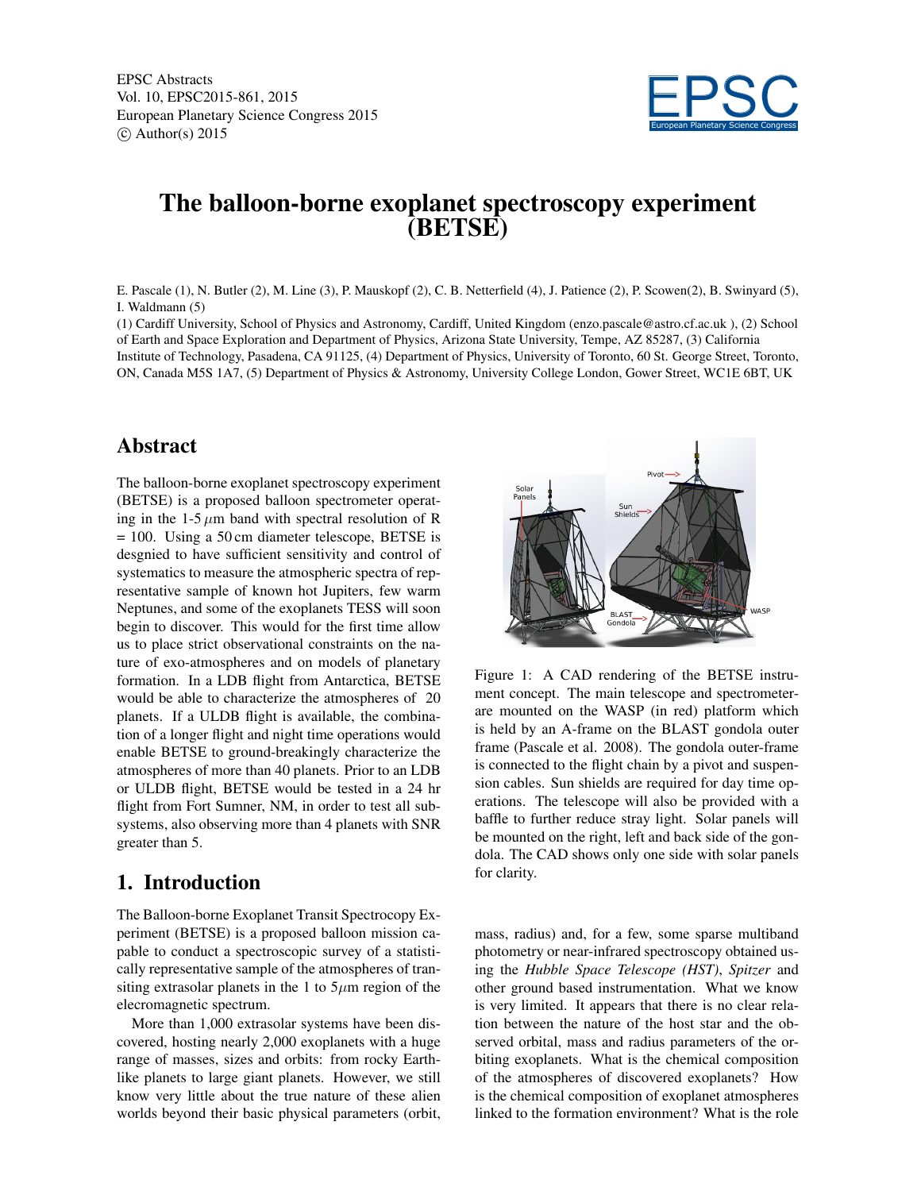EPSC Abstracts Vol. 10, EPSC2015-861, 2015 European Planetary Science Congress 2015  $\circ$  Author(s) 2015



## The balloon-borne exoplanet spectroscopy experiment (BETSE)

E. Pascale (1), N. Butler (2), M. Line (3), P. Mauskopf (2), C. B. Netterfield (4), J. Patience (2), P. Scowen(2), B. Swinyard (5), I. Waldmann (5)

(1) Cardiff University, School of Physics and Astronomy, Cardiff, United Kingdom (enzo.pascale@astro.cf.ac.uk ), (2) School of Earth and Space Exploration and Department of Physics, Arizona State University, Tempe, AZ 85287, (3) California Institute of Technology, Pasadena, CA 91125, (4) Department of Physics, University of Toronto, 60 St. George Street, Toronto, ON, Canada M5S 1A7, (5) Department of Physics & Astronomy, University College London, Gower Street, WC1E 6BT, UK

## Abstract

The balloon-borne exoplanet spectroscopy experiment (BETSE) is a proposed balloon spectrometer operating in the 1-5  $\mu$ m band with spectral resolution of R = 100. Using a 50 cm diameter telescope, BETSE is desgnied to have sufficient sensitivity and control of systematics to measure the atmospheric spectra of representative sample of known hot Jupiters, few warm Neptunes, and some of the exoplanets TESS will soon begin to discover. This would for the first time allow us to place strict observational constraints on the nature of exo-atmospheres and on models of planetary formation. In a LDB flight from Antarctica, BETSE would be able to characterize the atmospheres of 20 planets. If a ULDB flight is available, the combination of a longer flight and night time operations would enable BETSE to ground-breakingly characterize the atmospheres of more than 40 planets. Prior to an LDB or ULDB flight, BETSE would be tested in a 24 hr flight from Fort Sumner, NM, in order to test all subsystems, also observing more than 4 planets with SNR greater than 5.

## 1. Introduction

The Balloon-borne Exoplanet Transit Spectrocopy Experiment (BETSE) is a proposed balloon mission capable to conduct a spectroscopic survey of a statistically representative sample of the atmospheres of transiting extrasolar planets in the 1 to  $5\mu$ m region of the elecromagnetic spectrum.

More than 1,000 extrasolar systems have been discovered, hosting nearly 2,000 exoplanets with a huge range of masses, sizes and orbits: from rocky Earthlike planets to large giant planets. However, we still know very little about the true nature of these alien worlds beyond their basic physical parameters (orbit,



Figure 1: A CAD rendering of the BETSE instrument concept. The main telescope and spectrometerare mounted on the WASP (in red) platform which is held by an A-frame on the BLAST gondola outer frame (Pascale et al. 2008). The gondola outer-frame is connected to the flight chain by a pivot and suspension cables. Sun shields are required for day time operations. The telescope will also be provided with a baffle to further reduce stray light. Solar panels will be mounted on the right, left and back side of the gondola. The CAD shows only one side with solar panels for clarity.

mass, radius) and, for a few, some sparse multiband photometry or near-infrared spectroscopy obtained using the *Hubble Space Telescope (HST)*, *Spitzer* and other ground based instrumentation. What we know is very limited. It appears that there is no clear relation between the nature of the host star and the observed orbital, mass and radius parameters of the orbiting exoplanets. What is the chemical composition of the atmospheres of discovered exoplanets? How is the chemical composition of exoplanet atmospheres linked to the formation environment? What is the role